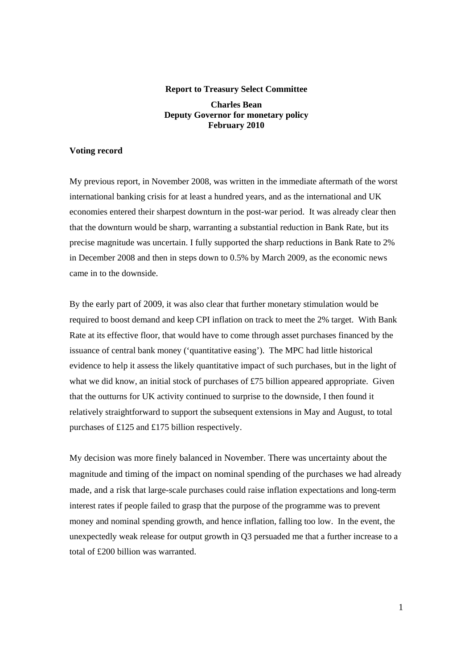## **Report to Treasury Select Committee Charles Bean Deputy Governor for monetary policy February 2010**

## **Voting record**

My previous report, in November 2008, was written in the immediate aftermath of the worst international banking crisis for at least a hundred years, and as the international and UK economies entered their sharpest downturn in the post-war period. It was already clear then that the downturn would be sharp, warranting a substantial reduction in Bank Rate, but its precise magnitude was uncertain. I fully supported the sharp reductions in Bank Rate to 2% in December 2008 and then in steps down to 0.5% by March 2009, as the economic news came in to the downside.

By the early part of 2009, it was also clear that further monetary stimulation would be required to boost demand and keep CPI inflation on track to meet the 2% target. With Bank Rate at its effective floor, that would have to come through asset purchases financed by the issuance of central bank money ('quantitative easing'). The MPC had little historical evidence to help it assess the likely quantitative impact of such purchases, but in the light of what we did know, an initial stock of purchases of £75 billion appeared appropriate. Given that the outturns for UK activity continued to surprise to the downside, I then found it relatively straightforward to support the subsequent extensions in May and August, to total purchases of £125 and £175 billion respectively.

My decision was more finely balanced in November. There was uncertainty about the magnitude and timing of the impact on nominal spending of the purchases we had already made, and a risk that large-scale purchases could raise inflation expectations and long-term interest rates if people failed to grasp that the purpose of the programme was to prevent money and nominal spending growth, and hence inflation, falling too low. In the event, the unexpectedly weak release for output growth in Q3 persuaded me that a further increase to a total of £200 billion was warranted.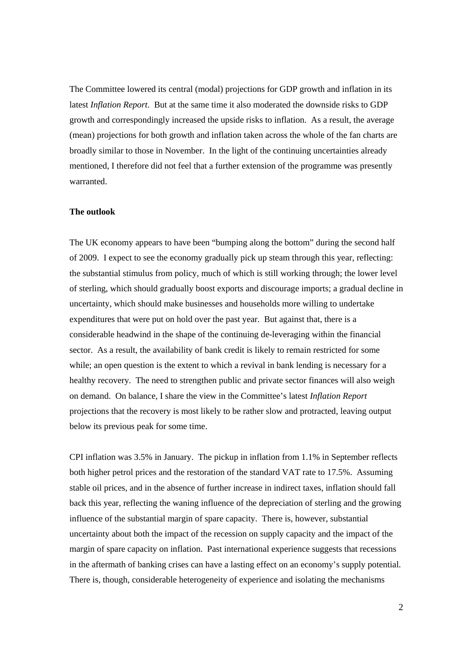The Committee lowered its central (modal) projections for GDP growth and inflation in its latest *Inflation Report*. But at the same time it also moderated the downside risks to GDP growth and correspondingly increased the upside risks to inflation. As a result, the average (mean) projections for both growth and inflation taken across the whole of the fan charts are broadly similar to those in November. In the light of the continuing uncertainties already mentioned, I therefore did not feel that a further extension of the programme was presently warranted.

## **The outlook**

The UK economy appears to have been "bumping along the bottom" during the second half of 2009. I expect to see the economy gradually pick up steam through this year, reflecting: the substantial stimulus from policy, much of which is still working through; the lower level of sterling, which should gradually boost exports and discourage imports; a gradual decline in uncertainty, which should make businesses and households more willing to undertake expenditures that were put on hold over the past year. But against that, there is a considerable headwind in the shape of the continuing de-leveraging within the financial sector. As a result, the availability of bank credit is likely to remain restricted for some while; an open question is the extent to which a revival in bank lending is necessary for a healthy recovery. The need to strengthen public and private sector finances will also weigh on demand. On balance, I share the view in the Committee's latest *Inflation Report* projections that the recovery is most likely to be rather slow and protracted, leaving output below its previous peak for some time.

CPI inflation was 3.5% in January. The pickup in inflation from 1.1% in September reflects both higher petrol prices and the restoration of the standard VAT rate to 17.5%. Assuming stable oil prices, and in the absence of further increase in indirect taxes, inflation should fall back this year, reflecting the waning influence of the depreciation of sterling and the growing influence of the substantial margin of spare capacity. There is, however, substantial uncertainty about both the impact of the recession on supply capacity and the impact of the margin of spare capacity on inflation. Past international experience suggests that recessions in the aftermath of banking crises can have a lasting effect on an economy's supply potential. There is, though, considerable heterogeneity of experience and isolating the mechanisms

2